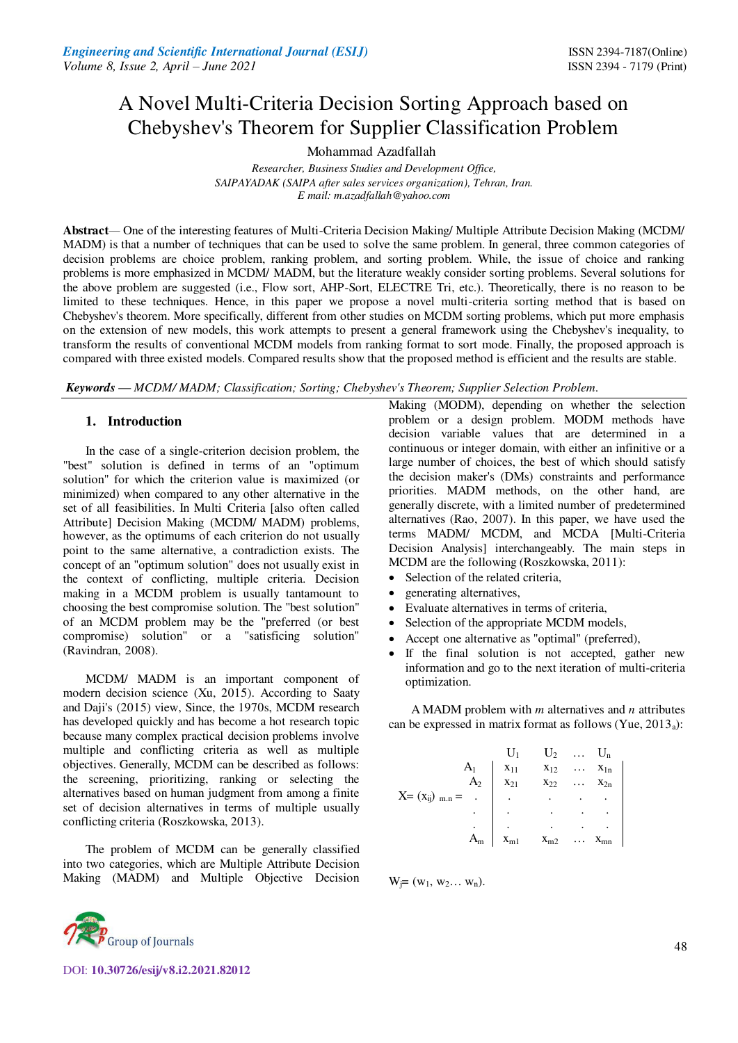# A Novel Multi-Criteria Decision Sorting Approach based on Chebyshev's Theorem for Supplier Classification Problem

Mohammad Azadfallah

*Researcher, Business Studies and Development Office, SAIPAYADAK (SAIPA after sales services organization), Tehran, Iran. E mail[: m.azadfallah@yahoo.com](mailto:m.azadfallah@yahoo.com)* 

**Abstract***—* One of the interesting features of Multi-Criteria Decision Making/ Multiple Attribute Decision Making (MCDM/ MADM) is that a number of techniques that can be used to solve the same problem. In general, three common categories of decision problems are choice problem, ranking problem, and sorting problem. While, the issue of choice and ranking problems is more emphasized in MCDM/ MADM, but the literature weakly consider sorting problems. Several solutions for the above problem are suggested (i.e., Flow sort, AHP-Sort, ELECTRE Tri, etc.). Theoretically, there is no reason to be limited to these techniques. Hence, in this paper we propose a novel multi-criteria sorting method that is based on Chebyshev's theorem. More specifically, different from other studies on MCDM sorting problems, which put more emphasis on the extension of new models, this work attempts to present a general framework using the Chebyshev's inequality, to transform the results of conventional MCDM models from ranking format to sort mode. Finally, the proposed approach is compared with three existed models. Compared results show that the proposed method is efficient and the results are stable.

*Keywords* **—** *MCDM/ MADM; Classification; Sorting; Chebyshev's Theorem; Supplier Selection Problem.* 

## **1. Introduction**

In the case of a single-criterion decision problem, the "best" solution is defined in terms of an "optimum solution" for which the criterion value is maximized (or minimized) when compared to any other alternative in the set of all feasibilities. In Multi Criteria [also often called Attribute] Decision Making (MCDM/ MADM) problems, however, as the optimums of each criterion do not usually point to the same alternative, a contradiction exists. The concept of an "optimum solution" does not usually exist in the context of conflicting, multiple criteria. Decision making in a MCDM problem is usually tantamount to choosing the best compromise solution. The "best solution" of an MCDM problem may be the "preferred (or best compromise) solution" or a "satisficing solution" (Ravindran, 2008).

MCDM/ MADM is an important component of modern decision science (Xu, 2015). According to Saaty and Daji's (2015) view, Since, the 1970s, MCDM research has developed quickly and has become a hot research topic because many complex practical decision problems involve multiple and conflicting criteria as well as multiple objectives. Generally, MCDM can be described as follows: the screening, prioritizing, ranking or selecting the alternatives based on human judgment from among a finite set of decision alternatives in terms of multiple usually conflicting criteria (Roszkowska, 2013).

The problem of MCDM can be generally classified into two categories, which are Multiple Attribute Decision Making (MADM) and Multiple Objective Decision Making (MODM), depending on whether the selection problem or a design problem. MODM methods have decision variable values that are determined in a continuous or integer domain, with either an infinitive or a large number of choices, the best of which should satisfy the decision maker's (DMs) constraints and performance priorities. MADM methods, on the other hand, are generally discrete, with a limited number of predetermined alternatives (Rao, 2007). In this paper, we have used the terms MADM/ MCDM, and MCDA [Multi-Criteria Decision Analysis] interchangeably. The main steps in MCDM are the following (Roszkowska, 2011):

- Selection of the related criteria,
- generating alternatives,
- Evaluate alternatives in terms of criteria,
- Selection of the appropriate MCDM models,
- Accept one alternative as "optimal" (preferred),
- If the final solution is not accepted, gather new information and go to the next iteration of multi-criteria optimization.

A MADM problem with *m* alternatives and *n* attributes can be expressed in matrix format as follows (Yue,  $2013_a$ ):

\n
$$
\text{Re} \quad \text{X} = (x_{ij})_{m,n} =
$$
\n

\n\n $\text{Re} \quad \text{A}_1 \quad \begin{array}{cccc}\n & Y_1 & & Y_2 & \dots & Y_n \\
& & X_{12} & & \dots & X_{1n} \\
& & & X_{21} & & X_{22} & \dots & X_{2n} \\
& & & & & & \\
& & & & & & \\
& & & & & & \\
& & & & & & \\
& & & & & & & \\
& & & & & & & \\
& & & & & & & \\
& & & & & & & \\
& & & & & & & \\
& & & & & & & & \\
& & & & & & & & \\
& & & & & & & & \\
& & & & & & & & & \\
& & & & & & & & & \\
& & & & & & & & & \\
& & & & & & & & & & \\
& & & & & & & & & & \\
& & & & & & & & & & & \\
& & & & & & & & & & & \\
& & & & & & & & & & & \\
& & & & & & & & & & & \\
& & & & & & & & & & & \\
& & & & & & & & & & &$ 

 $W_i = (w_1, w_2... w_n).$ 



DOI: **10.30726/esij/v8.i2.2021.82012**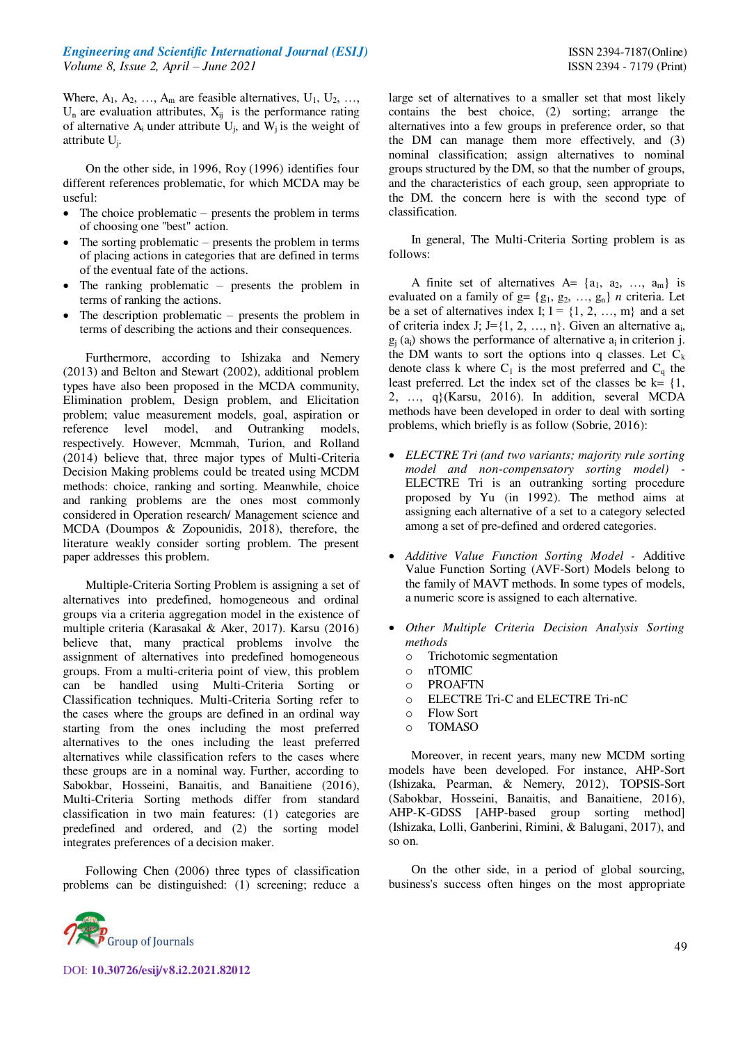Where,  $A_1$ ,  $A_2$ , ...,  $A_m$  are feasible alternatives,  $U_1$ ,  $U_2$ , ...,  $U_n$  are evaluation attributes,  $X_{ij}$  is the performance rating of alternative  $A_i$  under attribute  $U_j$ , and  $W_j$  is the weight of attribute U<sup>j</sup> .

On the other side, in 1996, Roy (1996) identifies four different references problematic, for which MCDA may be useful:

- $\bullet$  The choice problematic presents the problem in terms of choosing one "best" action.
- The sorting problematic presents the problem in terms of placing actions in categories that are defined in terms of the eventual fate of the actions.
- The ranking problematic presents the problem in terms of ranking the actions.
- The description problematic presents the problem in terms of describing the actions and their consequences.

Furthermore, according to Ishizaka and Nemery (2013) and Belton and Stewart (2002), additional problem types have also been proposed in the MCDA community, Elimination problem, Design problem, and Elicitation problem; value measurement models, goal, aspiration or reference level model, and Outranking models, respectively. However, Mcmmah, Turion, and Rolland (2014) believe that, three major types of Multi-Criteria Decision Making problems could be treated using MCDM methods: choice, ranking and sorting. Meanwhile, choice and ranking problems are the ones most commonly considered in Operation research/ Management science and MCDA (Doumpos & Zopounidis, 2018), therefore, the literature weakly consider sorting problem. The present paper addresses this problem.

Multiple-Criteria Sorting Problem is assigning a set of alternatives into predefined, homogeneous and ordinal groups via a criteria aggregation model in the existence of multiple criteria (Karasakal & Aker, 2017). Karsu (2016) believe that, many practical problems involve the assignment of alternatives into predefined homogeneous groups. From a multi-criteria point of view, this problem can be handled using Multi-Criteria Sorting or Classification techniques. Multi-Criteria Sorting refer to the cases where the groups are defined in an ordinal way starting from the ones including the most preferred alternatives to the ones including the least preferred alternatives while classification refers to the cases where these groups are in a nominal way. Further, according to Sabokbar, Hosseini, Banaitis, and Banaitiene (2016), Multi-Criteria Sorting methods differ from standard classification in two main features: (1) categories are predefined and ordered, and (2) the sorting model integrates preferences of a decision maker.

Following Chen (2006) three types of classification problems can be distinguished: (1) screening; reduce a



DOI: **10.30726/esij/v8.i2.2021.82012**

large set of alternatives to a smaller set that most likely contains the best choice, (2) sorting; arrange the alternatives into a few groups in preference order, so that the DM can manage them more effectively, and (3) nominal classification; assign alternatives to nominal groups structured by the DM, so that the number of groups, and the characteristics of each group, seen appropriate to the DM. the concern here is with the second type of classification.

In general, The Multi-Criteria Sorting problem is as follows:

A finite set of alternatives  $A = \{a_1, a_2, ..., a_m\}$  is evaluated on a family of  $g = \{g_1, g_2, ..., g_n\}$  *n* criteria. Let be a set of alternatives index I;  $I = \{1, 2, ..., m\}$  and a set of criteria index J; J={1, 2, ..., n}. Given an alternative  $a_i$ ,  $g_i$  (a<sub>i</sub>) shows the performance of alternative  $a_i$  in criterion j. the DM wants to sort the options into q classes. Let  $C_k$ denote class k where  $C_1$  is the most preferred and  $C_q$  the least preferred. Let the index set of the classes be  $k = \{1, \ldots, k\}$ 2, …, q}(Karsu, 2016). In addition, several MCDA methods have been developed in order to deal with sorting problems, which briefly is as follow (Sobrie, 2016):

- *ELECTRE Tri (and two variants; majority rule sorting model and non-compensatory sorting model) -*  ELECTRE Tri is an outranking sorting procedure proposed by Yu (in 1992). The method aims at assigning each alternative of a set to a category selected among a set of pre-defined and ordered categories.
- *Additive Value Function Sorting Model* Additive Value Function Sorting (AVF-Sort) Models belong to the family of MAVT methods. In some types of models, a numeric score is assigned to each alternative.
- *Other Multiple Criteria Decision Analysis Sorting methods* 
	- o Trichotomic segmentation
	- o nTOMIC
	- o PROAFTN
	- o ELECTRE Tri-C and ELECTRE Tri-nC
	- o Flow Sort
	- o TOMASO

 Moreover, in recent years, many new MCDM sorting models have been developed. For instance, AHP-Sort (Ishizaka, Pearman, & Nemery, 2012), TOPSIS-Sort (Sabokbar, Hosseini, Banaitis, and Banaitiene, 2016), AHP-K-GDSS [AHP-based group sorting method] (Ishizaka, Lolli, Ganberini, Rimini, & Balugani, 2017), and so on.

On the other side, in a period of global sourcing, business's success often hinges on the most appropriate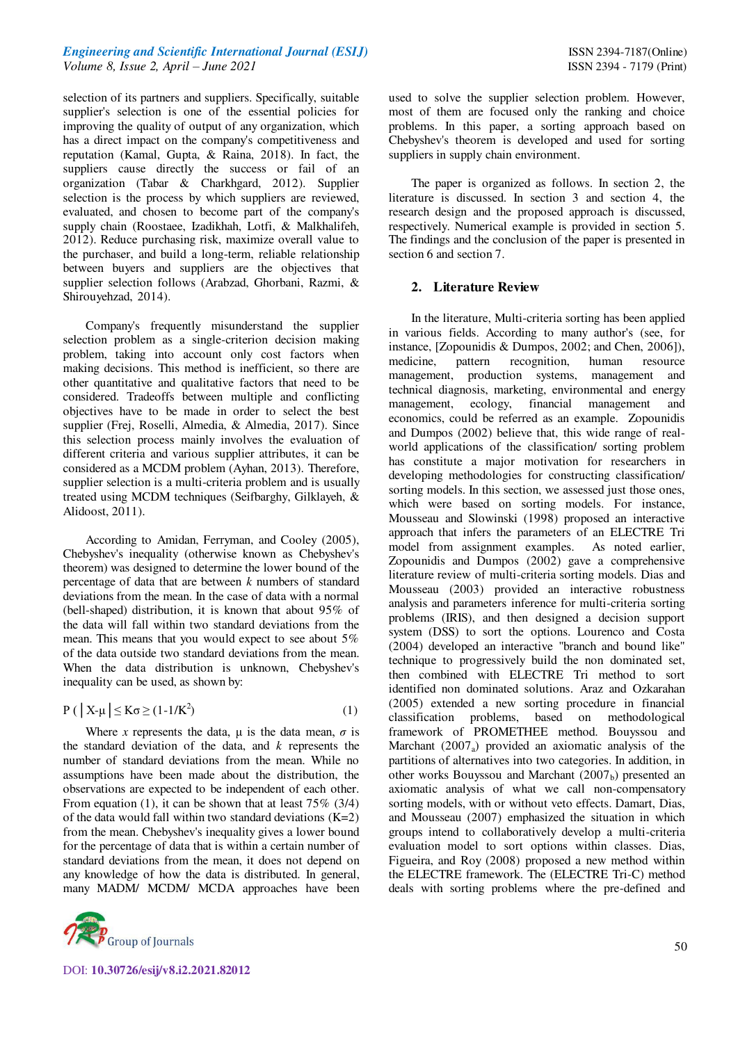selection of its partners and suppliers. Specifically, suitable supplier's selection is one of the essential policies for improving the quality of output of any organization, which has a direct impact on the company's competitiveness and reputation (Kamal, Gupta, & Raina, 2018). In fact, the suppliers cause directly the success or fail of an organization (Tabar & Charkhgard, 2012). Supplier selection is the process by which suppliers are reviewed, evaluated, and chosen to become part of the company's supply chain (Roostaee, Izadikhah, Lotfi, & Malkhalifeh, 2012). Reduce purchasing risk, maximize overall value to the purchaser, and build a long-term, reliable relationship between buyers and suppliers are the objectives that supplier selection follows (Arabzad, Ghorbani, Razmi, & Shirouyehzad, 2014).

Company's frequently misunderstand the supplier selection problem as a single-criterion decision making problem, taking into account only cost factors when making decisions. This method is inefficient, so there are other quantitative and qualitative factors that need to be considered. Tradeoffs between multiple and conflicting objectives have to be made in order to select the best supplier (Frej, Roselli, Almedia, & Almedia, 2017). Since this selection process mainly involves the evaluation of different criteria and various supplier attributes, it can be considered as a MCDM problem (Ayhan, 2013). Therefore, supplier selection is a multi-criteria problem and is usually treated using MCDM techniques (Seifbarghy, Gilklayeh, & Alidoost, 2011).

According to Amidan, Ferryman, and Cooley (2005), Chebyshev's inequality (otherwise known as Chebyshev's theorem) was designed to determine the lower bound of the percentage of data that are between *k* numbers of standard deviations from the mean. In the case of data with a normal (bell-shaped) distribution, it is known that about 95% of the data will fall within two standard deviations from the mean. This means that you would expect to see about 5% of the data outside two standard deviations from the mean. When the data distribution is unknown, Chebyshev's inequality can be used, as shown by:

$$
P\left(\left|X-\mu\right|\leq K\sigma\geq(1-1/K^2)\right) \tag{1}
$$

Where *x* represents the data,  $\mu$  is the data mean,  $\sigma$  is the standard deviation of the data, and *k* represents the number of standard deviations from the mean. While no assumptions have been made about the distribution, the observations are expected to be independent of each other. From equation (1), it can be shown that at least  $75\%$  (3/4) of the data would fall within two standard deviations  $(K=2)$ from the mean. Chebyshev's inequality gives a lower bound for the percentage of data that is within a certain number of standard deviations from the mean, it does not depend on any knowledge of how the data is distributed. In general, many MADM/ MCDM/ MCDA approaches have been



used to solve the supplier selection problem. However, most of them are focused only the ranking and choice problems. In this paper, a sorting approach based on Chebyshev's theorem is developed and used for sorting suppliers in supply chain environment.

The paper is organized as follows. In section 2, the literature is discussed. In section 3 and section 4, the research design and the proposed approach is discussed, respectively. Numerical example is provided in section 5. The findings and the conclusion of the paper is presented in section 6 and section 7.

#### **2. Literature Review**

In the literature, Multi-criteria sorting has been applied in various fields. According to many author's (see, for instance, [Zopounidis & Dumpos, 2002; and Chen, 2006]), medicine, pattern recognition, human resource management, production systems, management and technical diagnosis, marketing, environmental and energy management, ecology, financial management and economics, could be referred as an example. Zopounidis and Dumpos (2002) believe that, this wide range of realworld applications of the classification/ sorting problem has constitute a major motivation for researchers in developing methodologies for constructing classification/ sorting models. In this section, we assessed just those ones, which were based on sorting models. For instance, Mousseau and Slowinski (1998) proposed an interactive approach that infers the parameters of an ELECTRE Tri model from assignment examples. As noted earlier, Zopounidis and Dumpos (2002) gave a comprehensive literature review of multi-criteria sorting models. Dias and Mousseau (2003) provided an interactive robustness analysis and parameters inference for multi-criteria sorting problems (IRIS), and then designed a decision support system (DSS) to sort the options. Lourenco and Costa (2004) developed an interactive "branch and bound like" technique to progressively build the non dominated set, then combined with ELECTRE Tri method to sort identified non dominated solutions. Araz and Ozkarahan (2005) extended a new sorting procedure in financial classification problems, based on methodological framework of PROMETHEE method. Bouyssou and Marchant  $(2007_a)$  provided an axiomatic analysis of the partitions of alternatives into two categories. In addition, in other works Bouyssou and Marchant  $(2007<sub>b</sub>)$  presented an axiomatic analysis of what we call non-compensatory sorting models, with or without veto effects. Damart, Dias, and Mousseau (2007) emphasized the situation in which groups intend to collaboratively develop a multi-criteria evaluation model to sort options within classes. Dias, Figueira, and Roy (2008) proposed a new method within the ELECTRE framework. The (ELECTRE Tri-C) method deals with sorting problems where the pre-defined and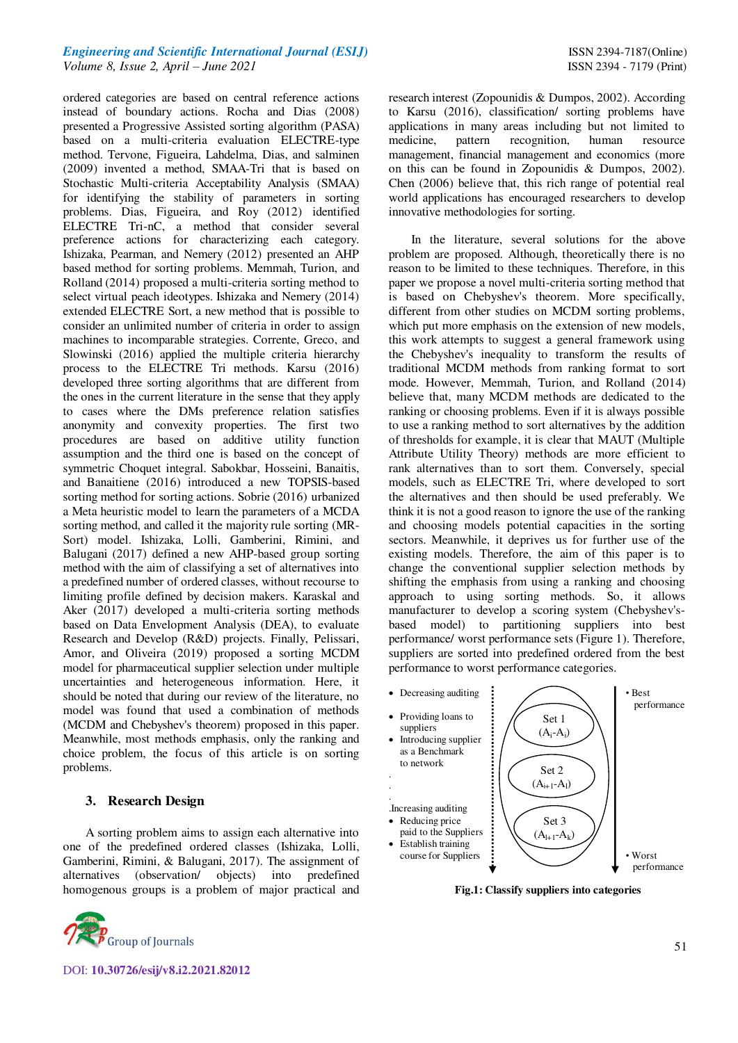ordered categories are based on central reference actions instead of boundary actions. Rocha and Dias (2008) presented a Progressive Assisted sorting algorithm (PASA) based on a multi-criteria evaluation ELECTRE-type method. Tervone, Figueira, Lahdelma, Dias, and salminen (2009) invented a method, SMAA-Tri that is based on Stochastic Multi-criteria Acceptability Analysis (SMAA) for identifying the stability of parameters in sorting problems. Dias, Figueira, and Roy (2012) identified ELECTRE Tri-nC, a method that consider several preference actions for characterizing each category. Ishizaka, Pearman, and Nemery (2012) presented an AHP based method for sorting problems. Memmah, Turion, and Rolland (2014) proposed a multi-criteria sorting method to select virtual peach ideotypes. Ishizaka and Nemery (2014) extended ELECTRE Sort, a new method that is possible to consider an unlimited number of criteria in order to assign machines to incomparable strategies. Corrente, Greco, and Slowinski (2016) applied the multiple criteria hierarchy process to the ELECTRE Tri methods. Karsu (2016) developed three sorting algorithms that are different from the ones in the current literature in the sense that they apply to cases where the DMs preference relation satisfies anonymity and convexity properties. The first two procedures are based on additive utility function assumption and the third one is based on the concept of symmetric Choquet integral. Sabokbar, Hosseini, Banaitis, and Banaitiene (2016) introduced a new TOPSIS-based sorting method for sorting actions. Sobrie (2016) urbanized a Meta heuristic model to learn the parameters of a MCDA sorting method, and called it the majority rule sorting (MR-Sort) model. Ishizaka, Lolli, Gamberini, Rimini, and Balugani (2017) defined a new AHP-based group sorting method with the aim of classifying a set of alternatives into a predefined number of ordered classes, without recourse to limiting profile defined by decision makers. Karaskal and Aker (2017) developed a multi-criteria sorting methods based on Data Envelopment Analysis (DEA), to evaluate Research and Develop (R&D) projects. Finally, Pelissari, Amor, and Oliveira (2019) proposed a sorting MCDM model for pharmaceutical supplier selection under multiple uncertainties and heterogeneous information. Here, it should be noted that during our review of the literature, no model was found that used a combination of methods (MCDM and Chebyshev's theorem) proposed in this paper. Meanwhile, most methods emphasis, only the ranking and choice problem, the focus of this article is on sorting problems.

#### **3. Research Design**

A sorting problem aims to assign each alternative into one of the predefined ordered classes (Ishizaka, Lolli, Gamberini, Rimini, & Balugani, 2017). The assignment of alternatives (observation/ objects) into predefined homogenous groups is a problem of major practical and



research interest (Zopounidis & Dumpos, 2002). According to Karsu (2016), classification/ sorting problems have applications in many areas including but not limited to medicine, pattern recognition, human resource management, financial management and economics (more on this can be found in Zopounidis & Dumpos, 2002). Chen (2006) believe that, this rich range of potential real world applications has encouraged researchers to develop innovative methodologies for sorting.

In the literature, several solutions for the above problem are proposed. Although, theoretically there is no reason to be limited to these techniques. Therefore, in this paper we propose a novel multi-criteria sorting method that is based on Chebyshev's theorem. More specifically, different from other studies on MCDM sorting problems, which put more emphasis on the extension of new models, this work attempts to suggest a general framework using the Chebyshev's inequality to transform the results of traditional MCDM methods from ranking format to sort mode. However, Memmah, Turion, and Rolland (2014) believe that, many MCDM methods are dedicated to the ranking or choosing problems. Even if it is always possible to use a ranking method to sort alternatives by the addition of thresholds for example, it is clear that MAUT (Multiple Attribute Utility Theory) methods are more efficient to rank alternatives than to sort them. Conversely, special models, such as ELECTRE Tri, where developed to sort the alternatives and then should be used preferably. We think it is not a good reason to ignore the use of the ranking and choosing models potential capacities in the sorting sectors. Meanwhile, it deprives us for further use of the existing models. Therefore, the aim of this paper is to change the conventional supplier selection methods by shifting the emphasis from using a ranking and choosing approach to using sorting methods. So, it allows manufacturer to develop a scoring system (Chebyshev'sbased model) to partitioning suppliers into best performance/ worst performance sets (Figure 1). Therefore, suppliers are sorted into predefined ordered from the best performance to worst performance categories.



**Fig.1: Classify suppliers into categories**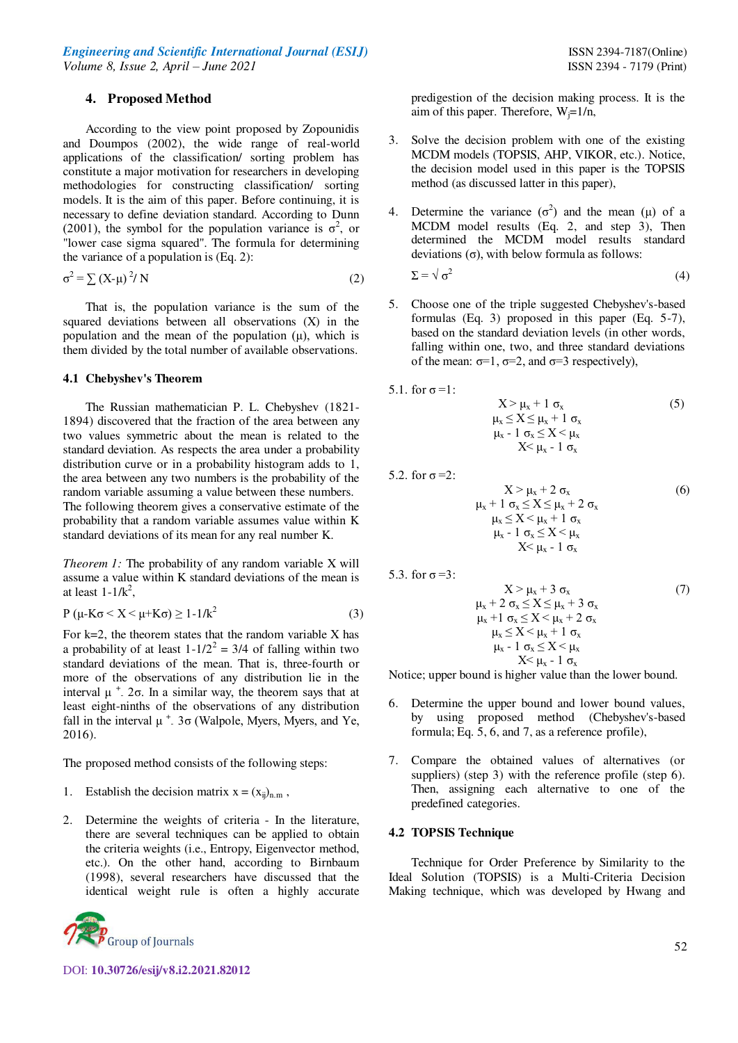#### **4. Proposed Method**

According to the view point proposed by Zopounidis and Doumpos (2002), the wide range of real-world applications of the classification/ sorting problem has constitute a major motivation for researchers in developing methodologies for constructing classification/ sorting models. It is the aim of this paper. Before continuing, it is necessary to define deviation standard. According to Dunn (2001), the symbol for the population variance is  $\sigma^2$ , or "lower case sigma squared". The formula for determining the variance of a population is (Eq. 2):

$$
\sigma^2 = \sum (X - \mu)^2 / N \tag{2}
$$

That is, the population variance is the sum of the squared deviations between all observations (X) in the population and the mean of the population  $(\mu)$ , which is them divided by the total number of available observations.

#### **4.1 Chebyshev's Theorem**

The Russian mathematician P. L. Chebyshev (1821- 1894) discovered that the fraction of the area between any two values symmetric about the mean is related to the standard deviation. As respects the area under a probability distribution curve or in a probability histogram adds to 1, the area between any two numbers is the probability of the random variable assuming a value between these numbers. The following theorem gives a conservative estimate of the probability that a random variable assumes value within K standard deviations of its mean for any real number K.

*Theorem 1:* The probability of any random variable X will assume a value within K standard deviations of the mean is at least  $1-1/k^2$ ,

$$
P(\mu - K\sigma < X < \mu + K\sigma) \ge 1 - 1/k^2 \tag{3}
$$

For  $k=2$ , the theorem states that the random variable X has a probability of at least  $1 - 1/2^2 = 3/4$  of falling within two standard deviations of the mean. That is, three-fourth or more of the observations of any distribution lie in the interval  $\mu^+$  2 $\sigma$ . In a similar way, the theorem says that at least eight-ninths of the observations of any distribution fall in the interval  $\mu^+$ . 3σ (Walpole, Myers, Myers, and Ye, 2016).

The proposed method consists of the following steps:

- 1. Establish the decision matrix  $x = (x_{ij})_{n,m}$ ,
- 2. Determine the weights of criteria In the literature, there are several techniques can be applied to obtain the criteria weights (i.e., Entropy, Eigenvector method, etc.). On the other hand, according to Birnbaum (1998), several researchers have discussed that the identical weight rule is often a highly accurate



DOI: **10.30726/esij/v8.i2.2021.82012**

predigestion of the decision making process. It is the aim of this paper. Therefore,  $W_i=1/n$ ,

- 3. Solve the decision problem with one of the existing MCDM models (TOPSIS, AHP, VIKOR, etc.). Notice, the decision model used in this paper is the TOPSIS method (as discussed latter in this paper),
- 4. Determine the variance  $(\sigma^2)$  and the mean ( $\mu$ ) of a MCDM model results (Eq. 2, and step 3), Then determined the MCDM model results standard deviations (σ), with below formula as follows:  $\Sigma = \sqrt{\sigma^2}$ (4)
- 5. Choose one of the triple suggested Chebyshev's-based formulas (Eq. 3) proposed in this paper (Eq. 5-7), based on the standard deviation levels (in other words, falling within one, two, and three standard deviations of the mean:  $\sigma=1$ ,  $\sigma=2$ , and  $\sigma=3$  respectively),

5.1. for 
$$
\sigma = 1
$$
:  
\n
$$
X > \mu_x + 1 \sigma_x
$$
\n
$$
\mu_x \le X \le \mu_x + 1 \sigma_x
$$
\n
$$
\mu_x - 1 \sigma_x \le X < \mu_x
$$
\n
$$
X < \mu_x - 1 \sigma_x
$$
\n(5)

5.2. for  $\sigma = 2$ :

$$
X > \mu_x + 2 \sigma_x
$$
\n
$$
\mu_x + 1 \sigma_x \le X \le \mu_x + 2 \sigma_x
$$
\n
$$
\mu_x \le X < \mu_x + 1 \sigma_x
$$
\n
$$
\mu_x - 1 \sigma_x \le X < \mu_x
$$
\n
$$
X < \mu_x - 1 \sigma_x
$$
\n(6)

5.3. for  $\sigma = 3$ :

$$
X > \mu_x + 3 \sigma_x
$$
\n
$$
\mu_x + 2 \sigma_x \le X \le \mu_x + 3 \sigma_x
$$
\n
$$
\mu_x + 1 \sigma_x \le X < \mu_x + 2 \sigma_x
$$
\n
$$
\mu_x \le X < \mu_x + 1 \sigma_x
$$
\n
$$
\mu_x - 1 \sigma_x \le X < \mu_x
$$
\n
$$
X < \mu_x - 1 \sigma_x
$$

Notice; upper bound is higher value than the lower bound.

- 6. Determine the upper bound and lower bound values, by using proposed method (Chebyshev's-based formula; Eq. 5, 6, and 7, as a reference profile),
- 7. Compare the obtained values of alternatives (or suppliers) (step 3) with the reference profile (step 6). Then, assigning each alternative to one of the predefined categories.

## **4.2 TOPSIS Technique**

Technique for Order Preference by Similarity to the Ideal Solution (TOPSIS) is a Multi-Criteria Decision Making technique, which was developed by Hwang and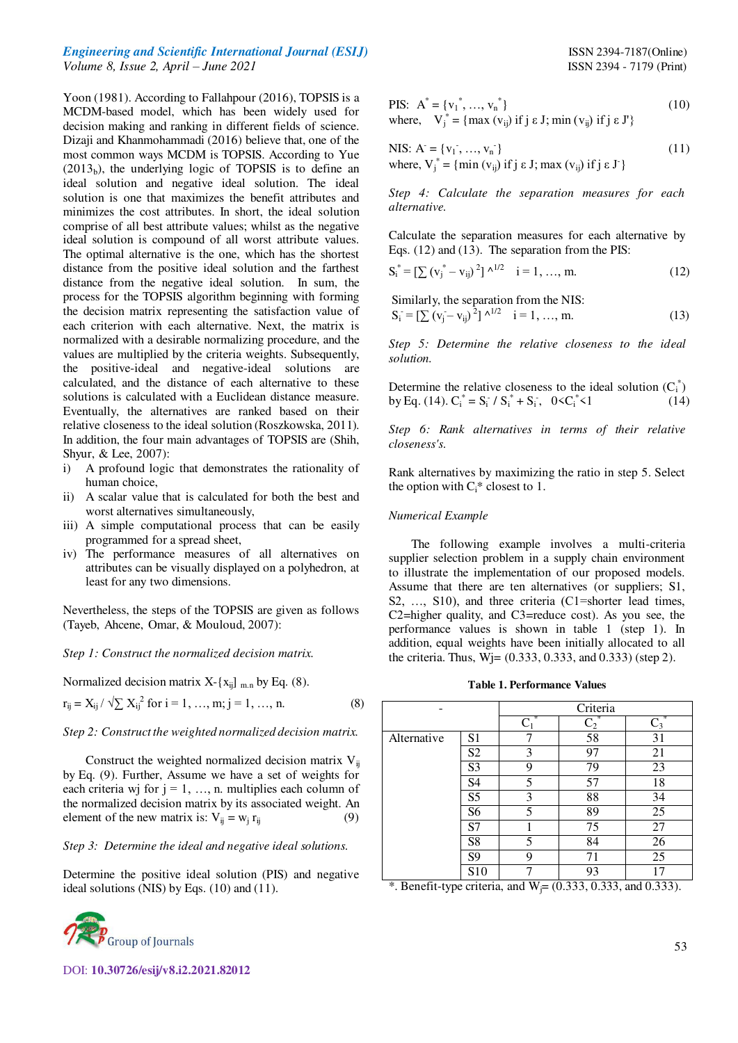Yoon (1981). According to Fallahpour (2016), TOPSIS is a MCDM-based model, which has been widely used for decision making and ranking in different fields of science. Dizaji and Khanmohammadi (2016) believe that, one of the most common ways MCDM is TOPSIS. According to Yue  $(2013<sub>b</sub>)$ , the underlying logic of TOPSIS is to define an ideal solution and negative ideal solution. The ideal solution is one that maximizes the benefit attributes and minimizes the cost attributes. In short, the ideal solution comprise of all best attribute values; whilst as the negative ideal solution is compound of all worst attribute values. The optimal alternative is the one, which has the shortest distance from the positive ideal solution and the farthest distance from the negative ideal solution. In sum, the process for the TOPSIS algorithm beginning with forming the decision matrix representing the satisfaction value of each criterion with each alternative. Next, the matrix is normalized with a desirable normalizing procedure, and the values are multiplied by the criteria weights. Subsequently, the positive-ideal and negative-ideal solutions are calculated, and the distance of each alternative to these solutions is calculated with a Euclidean distance measure. Eventually, the alternatives are ranked based on their relative closeness to the ideal solution (Roszkowska, 2011). In addition, the four main advantages of TOPSIS are (Shih, Shyur, & Lee, 2007):

- i) A profound logic that demonstrates the rationality of human choice,
- ii) A scalar value that is calculated for both the best and worst alternatives simultaneously,
- iii) A simple computational process that can be easily programmed for a spread sheet,
- iv) The performance measures of all alternatives on attributes can be visually displayed on a polyhedron, at least for any two dimensions.

Nevertheless, the steps of the TOPSIS are given as follows (Tayeb, Ahcene, Omar, & Mouloud, 2007):

*Step 1: Construct the normalized decision matrix.* 

Normalized decision matrix X-
$$
\{x_{ij}\}
$$
 m.n by Eq. (8).

$$
r_{ij} = X_{ij} / \sqrt{\sum X_{ij}}^{2} \text{ for } i = 1, ..., m; j = 1, ..., n.
$$
 (8)

*Step 2: Construct the weighted normalized decision matrix.* 

Construct the weighted normalized decision matrix  $V_{ii}$ by Eq. (9). Further, Assume we have a set of weights for each criteria wj for  $j = 1, \ldots, n$ . multiplies each column of the normalized decision matrix by its associated weight. An element of the new matrix is:  $V_{ij} = w_j r_{ij}$  $(9)$ 

#### *Step 3: Determine the ideal and negative ideal solutions.*

Determine the positive ideal solution (PIS) and negative ideal solutions (NIS) by Eqs. (10) and (11).



DOI: **10.30726/esij/v8.i2.2021.82012**

PIS: 
$$
A^* = \{v_1^*, ..., v_n^*\}
$$
  
where, 
$$
V_j^* = \{\max (v_{ij}) \text{ if } j \in J; \min (v_{ij}) \text{ if } j \in J'\}
$$
 (10)

NIS: A<sup>\*</sup> = {
$$
v_1
$$
<sup>\*</sup>, ...,  $v_n$ <sup>\*</sup>}  
where,  $V_j^*$  = {min ( $v_{ij}$ ) if j  $\varepsilon$  J; max ( $v_{ij}$ ) if j  $\varepsilon$  J'} (11)

*Step 4: Calculate the separation measures for each alternative.* 

Calculate the separation measures for each alternative by Eqs. (12) and (13). The separation from the PIS:

$$
S_i^* = \left[\sum (v_j^* - v_{ij})^2\right] \wedge^{1/2} \quad i = 1, ..., m. \tag{12}
$$

Similarly, the separation from the NIS:  
\n
$$
S_i = \left[\sum (v_j - v_{ij})^2\right] \wedge^{1/2} \quad i = 1, ..., m. \tag{13}
$$

*Step 5: Determine the relative closeness to the ideal solution.* 

Determine the relative closeness to the ideal solution  $(C_i^*)$ by Eq. (14).  $C_i^* = S_i^* / S_i^* + S_i^*$ ,  $0 < C_i^*$  $(14)$ 

*Step 6: Rank alternatives in terms of their relative closeness's.* 

Rank alternatives by maximizing the ratio in step 5. Select the option with  $C_i^*$  closest to 1.

#### *Numerical Example*

The following example involves a multi-criteria supplier selection problem in a supply chain environment to illustrate the implementation of our proposed models. Assume that there are ten alternatives (or suppliers; S1, S2, ..., S10), and three criteria (C1=shorter lead times, C2=higher quality, and C3=reduce cost). As you see, the performance values is shown in table 1 (step 1). In addition, equal weights have been initially allocated to all the criteria. Thus,  $W$  $i = (0.333, 0.333,$  and  $0.333)$  (step 2).

**Table 1. Performance Values** 

|             |                | Criteria   |                |            |  |
|-------------|----------------|------------|----------------|------------|--|
|             |                | ⋇<br>$C_1$ | $\mathbf{C}_2$ | ∗<br>$C_3$ |  |
| Alternative | S1             |            | 58             | 31         |  |
|             | S <sub>2</sub> | 3          | 97             | 21         |  |
|             | S <sub>3</sub> | 9          | 79             | 23         |  |
|             | S4             | 5          | 57             | 18         |  |
|             | S <sub>5</sub> | 3          | 88             | 34         |  |
|             | S6             | 5          | 89             | 25         |  |
|             | S7             |            | 75             | 27         |  |
|             | S8             | 5          | 84             | 26         |  |
|             | S9             | 9          | 71             | 25         |  |
|             | S10            |            | 93             |            |  |

\*. Benefit-type criteria, and  $W_i = (0.333, 0.333, 0.333)$ .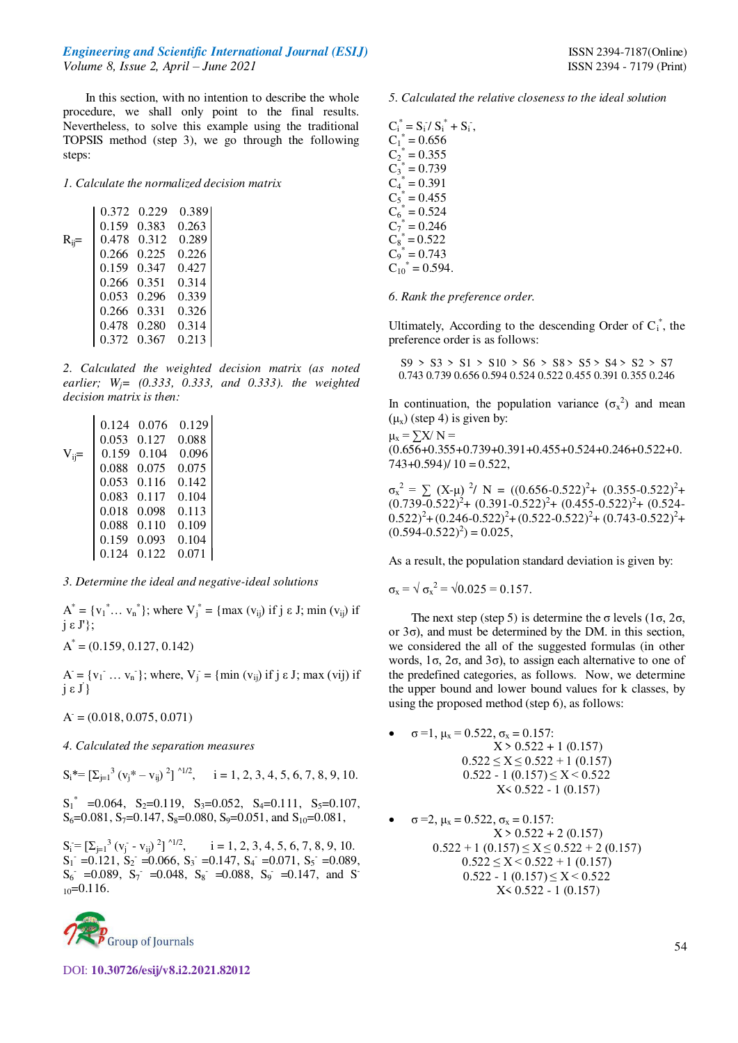In this section, with no intention to describe the whole procedure, we shall only point to the final results. Nevertheless, to solve this example using the traditional TOPSIS method (step 3), we go through the following steps:

*1. Calculate the normalized decision matrix* 

|            | 0.372 | 0.229 | 0.389 |  |
|------------|-------|-------|-------|--|
|            | 0.159 | 0.383 | 0.263 |  |
| $R_{ij} =$ | 0.478 | 0.312 | 0.289 |  |
|            | 0.266 | 0.225 | 0.226 |  |
|            | 0.159 | 0.347 | 0.427 |  |
|            | 0.266 | 0.351 | 0.314 |  |
|            | 0.053 | 0.296 | 0.339 |  |
|            | 0.266 | 0.331 | 0.326 |  |
|            | 0.478 | 0.280 | 0.314 |  |
|            | 0.372 | 0.367 | 0.213 |  |

*2. Calculated the weighted decision matrix (as noted earlier; Wj= (0.333, 0.333, and 0.333). the weighted decision matrix is then:* 

|            | 0.124 | 0.076 | 0.129 |
|------------|-------|-------|-------|
|            | 0.053 | 0.127 | 0.088 |
| $V_{ii} =$ | 0.159 | 0.104 | 0.096 |
|            | 0.088 | 0.075 | 0.075 |
|            | 0.053 | 0.116 | 0.142 |
|            | 0.083 | 0.117 | 0.104 |
|            | 0.018 | 0.098 | 0.113 |
|            | 0.088 | 0.110 | 0.109 |
|            | 0.159 | 0.093 | 0.104 |
|            | 0.124 | 0.122 | 0.071 |
|            |       |       |       |

#### *3. Determine the ideal and negative-ideal solutions*

 $A^* = \{v_1^* \dots v_n^*\}$ ; where  $V_j^* = \{ \max(v_{ij}) \text{ if } j \in J; \min(v_{ij}) \text{ if } j \in J\}$  $j \varepsilon J$  };

$$
A^* = (0.159, 0.127, 0.142)
$$

 $A = \{v_1 \dots v_n\}$ ; where,  $V_j = \{min(v_{ij}) \text{ if } j \in J; max(v_{ij}) \text{ if } j \in J\}$ j ε J' }

 $A = (0.018, 0.075, 0.071)$ 

*4. Calculated the separation measures* 

 $S_i^* = \left[\sum_{j=1}^3 (v_j^* - v_{ij})^2\right]^{4/2}, \quad i = 1, 2, 3, 4, 5, 6, 7, 8, 9, 10.$ 

 $S_1^*$  =0.064, S<sub>2</sub>=0.119, S<sub>3</sub>=0.052, S<sub>4</sub>=0.111, S<sub>5</sub>=0.107,  $S_6$ =0.081, S<sub>7</sub>=0.147, S<sub>8</sub>=0.080, S<sub>9</sub>=0.051, and S<sub>10</sub>=0.081,

 $S_i = [\sum_{j=1}^{3} (v_j - v_{ij})^2]^{1/2}$ ,  $i = 1, 2, 3, 4, 5, 6, 7, 8, 9, 10$ .  $S_1$  = 0.121,  $S_2$  = 0.066,  $S_3$  = 0.147,  $S_4$  = 0.071,  $S_5$  = 0.089,  $S_6$  =0.089,  $S_7$  =0.048,  $S_8$  =0.088,  $S_9$  =0.147, and S  $_{10}$ =0.116.



DOI: **10.30726/esij/v8.i2.2021.82012**

#### *5. Calculated the relative closeness to the ideal solution*

 $C_i^* = S_i / S_i^* + S_i^-.$  $C_1^* = 0.656$  $C_2^* = 0.355$  $C_3^* = 0.739$  $C_4^* = 0.391$  $C_5^* = 0.455$  $C_6^* = 0.524$  $C_7^* = 0.246$  $C_8^* = 0.522$  $C_9^* = 0.743$  $C_{10}^* = 0.594.$ 

*6. Rank the preference order.* 

Ultimately, According to the descending Order of  $C_i^*$ , the preference order is as follows:

 $S9 > S3 > S1 > S10 > S6 > S8 > S5 > S4 > S2 > S7$ 0.743 0.739 0.656 0.594 0.524 0.522 0.455 0.391 0.355 0.246

In continuation, the population variance  $(\sigma_x^2)$  and mean  $(\mu_x)$  (step 4) is given by:

 $\mu_x = \sum X/N =$ (0.656+0.355+0.739+0.391+0.455+0.524+0.246+0.522+0.  $743+0.594$  $/ 10 = 0.522$ ,

 $\sigma_x^2 = \sum (X-\mu)^2$ / N = ((0.656-0.522)<sup>2</sup>+ (0.355-0.522)<sup>2</sup>+  $(0.739 - 0.522)^2$  +  $(0.391 - 0.522)^2$  +  $(0.455 - 0.522)^2$  +  $(0.524 - 0.522)^2$  $(0.522)^{2} + (0.246 - 0.522)^{2} + (0.522 - 0.522)^{2} + (0.743 - 0.522)^{2} +$  $(0.594 - 0.522)^2 = 0.025,$ 

As a result, the population standard deviation is given by:

$$
\sigma_x = \sqrt{\sigma_x^2} = \sqrt{0.025} = 0.157.
$$

The next step (step 5) is determine the  $\sigma$  levels (1 $\sigma$ , 2 $\sigma$ , or 3σ), and must be determined by the DM. in this section, we considered the all of the suggested formulas (in other words,  $1\sigma$ ,  $2\sigma$ , and  $3\sigma$ ), to assign each alternative to one of the predefined categories, as follows. Now, we determine the upper bound and lower bound values for k classes, by using the proposed method (step 6), as follows:

 $\sigma = 1$ ,  $\mu_x = 0.522$ ,  $\sigma_x = 0.157$ :  $X > 0.522 + 1$  (0.157)  $0.522 \le X \le 0.522 + 1$  (0.157)  $0.522 - 1$   $(0.157) \le X \le 0.522$ X< 0.522 - 1 (0.157)

\n- $$
\sigma = 2
$$
,  $\mu_x = 0.522$ ,  $\sigma_x = 0.157$ :  $X > 0.522 + 2(0.157)$
\n- $0.522 + 1(0.157) \leq X \leq 0.522 + 2(0.157)$
\n- $0.522 \leq X < 0.522 + 1(0.157)$
\n- $0.522 - 1(0.157) \leq X < 0.522$
\n- $X < 0.522 - 1(0.157)$
\n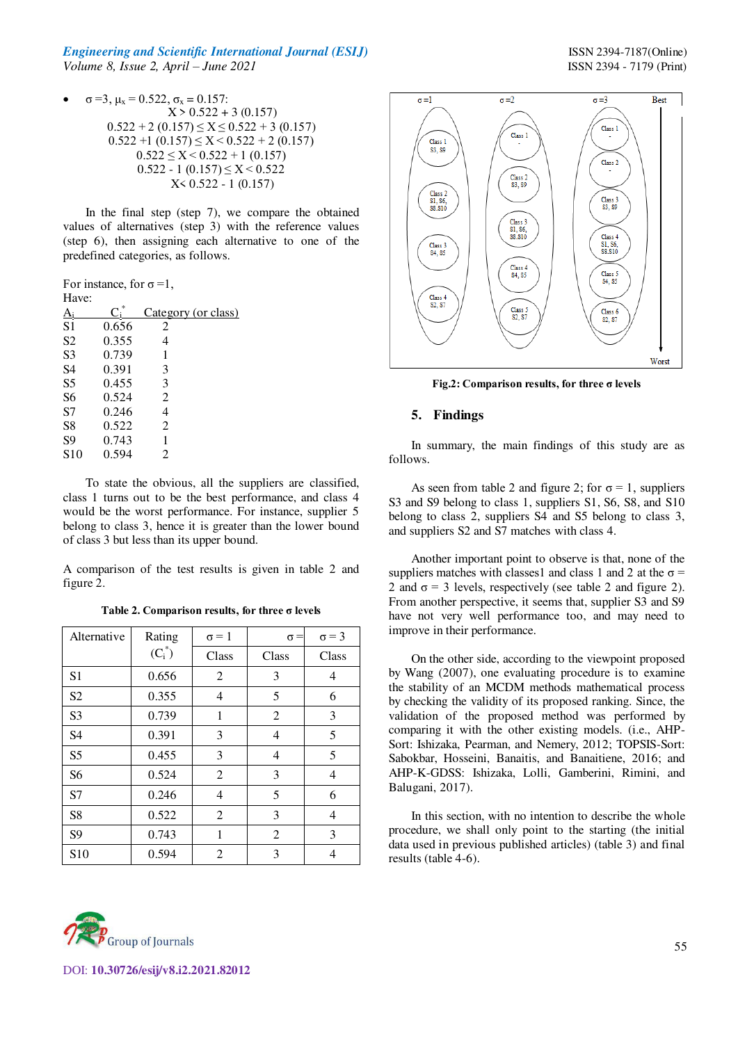$\sigma$  =3, μ<sub>x</sub> = 0.522,  $\sigma$ <sub>x</sub> = 0.157:  $X > 0.522 + 3(0.157)$  $0.522 + 2(0.157) \le X \le 0.522 + 3(0.157)$  $0.522 + 1$   $(0.157) \le X \le 0.522 + 2$   $(0.157)$  $0.522 \le X \le 0.522 + 1$  (0.157)  $0.522 - 1$   $(0.157) \le X \le 0.522$ X< 0.522 - 1 (0.157)

In the final step (step 7), we compare the obtained values of alternatives (step 3) with the reference values (step 6), then assigning each alternative to one of the predefined categories, as follows.

For instance, for  $\sigma = 1$ ,  $H_{\alpha\alpha\alpha}$ 

| 11ave.         |       |                     |
|----------------|-------|---------------------|
| Αi             |       | Category (or class) |
| S1             | 0.656 | 2                   |
| S <sub>2</sub> | 0.355 | 4                   |
| S3             | 0.739 | 1                   |
| S4             | 0.391 | 3                   |
| S5             | 0.455 | 3                   |
| S6             | 0.524 | 2                   |
| S7             | 0.246 | 4                   |
| S8             | 0.522 | 2                   |
| S9             | 0.743 |                     |
| S10            | 0.594 | 2                   |
|                |       |                     |

To state the obvious, all the suppliers are classified, class 1 turns out to be the best performance, and class 4 would be the worst performance. For instance, supplier 5 belong to class 3, hence it is greater than the lower bound of class 3 but less than its upper bound.

A comparison of the test results is given in table 2 and figure 2.

**Table 2. Comparison results, for three σ levels**

| Alternative     | Rating    | $\sigma = 1$   | $\sigma =$ | $\sigma = 3$ |
|-----------------|-----------|----------------|------------|--------------|
|                 | $(C_i^*)$ | Class          | Class      | Class        |
| S <sub>1</sub>  | 0.656     | 2              | 3          | 4            |
| S <sub>2</sub>  | 0.355     | 4              | 5          | 6            |
| S <sub>3</sub>  | 0.739     | 1              | 2          | 3            |
| S <sub>4</sub>  | 0.391     | 3              | 4          | 5            |
| S <sub>5</sub>  | 0.455     | 3              | 4          | 5            |
| S <sub>6</sub>  | 0.524     | $\overline{2}$ | 3          | 4            |
| S7              | 0.246     | 4              | 5          | 6            |
| S <sub>8</sub>  | 0.522     | 2              | 3          | 4            |
| S <sub>9</sub>  | 0.743     | 1              | 2          | 3            |
| S <sub>10</sub> | 0.594     | 2              | 3          | 4            |



**Fig.2: Comparison results, for three σ levels**

## **5. Findings**

In summary, the main findings of this study are as follows.

As seen from table 2 and figure 2; for  $\sigma = 1$ , suppliers S3 and S9 belong to class 1, suppliers S1, S6, S8, and S10 belong to class 2, suppliers S4 and S5 belong to class 3, and suppliers S2 and S7 matches with class 4.

Another important point to observe is that, none of the suppliers matches with classes1 and class 1 and 2 at the  $\sigma$  = 2 and  $\sigma$  = 3 levels, respectively (see table 2 and figure 2). From another perspective, it seems that, supplier S3 and S9 have not very well performance too, and may need to improve in their performance.

On the other side, according to the viewpoint proposed by Wang (2007), one evaluating procedure is to examine the stability of an MCDM methods mathematical process by checking the validity of its proposed ranking. Since, the validation of the proposed method was performed by comparing it with the other existing models. (i.e., AHP-Sort: Ishizaka, Pearman, and Nemery, 2012; TOPSIS-Sort: Sabokbar, Hosseini, Banaitis, and Banaitiene, 2016; and AHP-K-GDSS: Ishizaka, Lolli, Gamberini, Rimini, and Balugani, 2017).

In this section, with no intention to describe the whole procedure, we shall only point to the starting (the initial data used in previous published articles) (table 3) and final results (table 4-6).

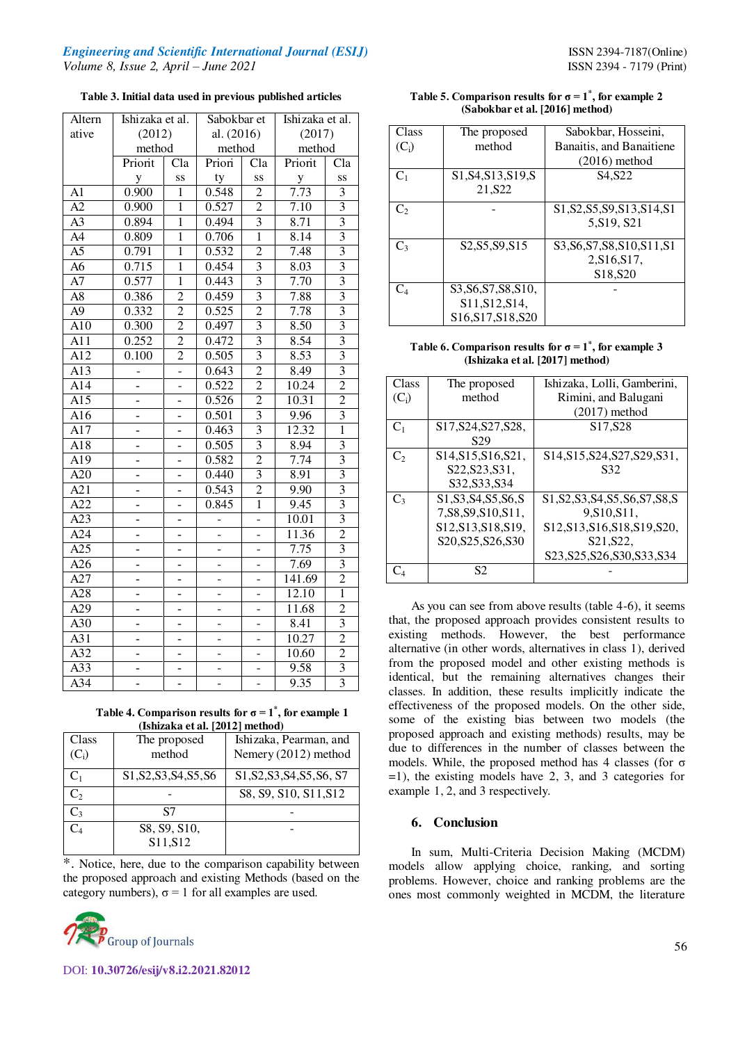**Table 3. Initial data used in previous published articles** 

| Altern           | Ishizaka et al. |                          | Sabokbar et    |                          | Ishizaka et al. |                           |
|------------------|-----------------|--------------------------|----------------|--------------------------|-----------------|---------------------------|
| ative            | (2012)          |                          | al. $(2016)$   |                          | (2017)          |                           |
|                  | method          |                          | method         |                          | method          |                           |
|                  | Priorit         | Cla                      | Priori         | Cla                      | Priorit         | Cla                       |
|                  | y               | SS                       | ty             | SS                       | $\mathbf{y}$    | SS                        |
| A1               | 0.900           | $\mathbf{1}$             | 0.548          | $\overline{2}$           | 7.73            | $\overline{3}$            |
| $\overline{A2}$  | 0.900           | $\mathbf{1}$             | 0.527          | $\overline{2}$           | 7.10            | $\overline{3}$            |
| $\overline{A3}$  | 0.894           | $\mathbf{1}$             | 0.494          | $\overline{3}$           | 8.71            | $\overline{3}$            |
| $A\overline{A}$  | 0.809           | $\overline{1}$           | 0.706          | $\overline{1}$           | 8.14            | $\overline{3}$            |
| A <sub>5</sub>   | 0.791           | $\mathbf{1}$             | 0.532          | $\overline{2}$           | 7.48            | $\overline{3}$            |
| $\overline{A6}$  | 0.715           | $\overline{1}$           | 0.454          | $\overline{3}$           | 8.03            | $\overline{\overline{3}}$ |
| $\overline{A7}$  | 0.577           | $\overline{1}$           | 0.443          | $\overline{3}$           | 7.70            | $\overline{\mathbf{3}}$   |
| A <sub>8</sub>   | 0.386           | $\overline{2}$           | 0.459          | $\overline{3}$           | 7.88            | $\overline{3}$            |
| $\overline{A9}$  | 0.332           | $\overline{2}$           | 0.525          | $\overline{2}$           | 7.78            | $\overline{3}$            |
| A10              | 0.300           | $\overline{2}$           | 0.497          | $\overline{3}$           | 8.50            | $\overline{3}$            |
| $AI\overline{1}$ | 0.252           | $\overline{2}$           | 0.472          | $\overline{3}$           | 8.54            | $\overline{\mathbf{3}}$   |
| A12              | 0.100           | $\overline{2}$           | 0.505          | $\overline{3}$           | 8.53            | $\overline{3}$            |
| $\overline{A13}$ | 4               | -                        | 0.643          | $\overline{2}$           | 8.49            | $\overline{3}$            |
| $AI\overline{4}$ |                 |                          | 0.522          | $\overline{2}$           | 10.24           | $\overline{2}$            |
| $\overline{A15}$ |                 |                          | 0.526          | $\overline{2}$           | 10.31           | $\overline{2}$            |
| A16              |                 |                          | 0.501          | $\overline{3}$           | 9.96            | $\overline{3}$            |
| A17              |                 | $\overline{a}$           | 0.463          | 3                        | 12.32           | $\overline{1}$            |
| A18              |                 | -                        | 0.505          | 3                        | 8.94            | $\overline{3}$            |
| $\overline{A19}$ |                 |                          | 0.582          | $\overline{2}$           | 7.74            | $\overline{3}$            |
| $\overline{A20}$ |                 |                          | 0.440          | $\overline{3}$           | 8.91            | $\overline{3}$            |
| A21              |                 |                          | 0.543          | $\overline{2}$           | 9.90            | $\overline{3}$            |
| A22              |                 |                          | 0.845          | $\overline{1}$           | 9.45            | $\overline{3}$            |
| $\overline{A23}$ | $\overline{a}$  | $\overline{a}$           | $\overline{a}$ | $\overline{a}$           | 10.01           | $\overline{\mathbf{3}}$   |
| A24              | $\overline{a}$  | $\overline{a}$           |                | -                        | 11.36           | $\overline{2}$            |
| A25              |                 | $\overline{a}$           |                | $\overline{a}$           | 7.75            | $\overline{3}$            |
| $\overline{A26}$ |                 | -                        | -              | $\overline{a}$           | 7.69            | $\overline{3}$            |
| A27              |                 |                          |                |                          | 141.69          | $\overline{2}$            |
| $\overline{A28}$ |                 | -                        |                | -                        | 12.10           | $\overline{1}$            |
| A29              |                 | -                        | -              | -                        | 11.68           | $\overline{c}$            |
| $\overline{A30}$ |                 | $\overline{\phantom{0}}$ |                | $\overline{\phantom{0}}$ | 8.41            | $\overline{3}$            |
| A31              |                 | $\overline{\phantom{0}}$ |                | -                        | 10.27           | $\overline{2}$            |
| A32              |                 |                          |                |                          | 10.60           | $\overline{2}$            |
| $\overline{A33}$ |                 |                          |                |                          | 9.58            | $\overline{3}$            |
| A34              |                 |                          |                |                          | 9.35            | $\overline{3}$            |

**Table 4. Comparison results for**  $\sigma = 1^*$ **, for example 1 (Ishizaka et al. [2012] method)** 

| Class                   | The proposed                                                                                        | Ishizaka, Pearman, and                                                                                               |
|-------------------------|-----------------------------------------------------------------------------------------------------|----------------------------------------------------------------------------------------------------------------------|
| $(\mathbf{C}_\text{i})$ | method                                                                                              | Nemery (2012) method                                                                                                 |
| $C_1$                   | S <sub>1</sub> , S <sub>2</sub> , S <sub>3</sub> , S <sub>4</sub> , S <sub>5</sub> , S <sub>6</sub> | S <sub>1</sub> , S <sub>2</sub> , S <sub>3</sub> , S <sub>4</sub> , S <sub>5</sub> , S <sub>6</sub> , S <sub>7</sub> |
| C <sub>2</sub>          |                                                                                                     | S8, S9, S10, S11, S12                                                                                                |
| $C_3$                   | S7                                                                                                  |                                                                                                                      |
|                         | S8, S9, S10,                                                                                        |                                                                                                                      |
|                         | S11, S12                                                                                            |                                                                                                                      |

\*. Notice, here, due to the comparison capability between the proposed approach and existing Methods (based on the category numbers),  $\sigma = 1$  for all examples are used.



| Table 5. Comparison results for $\sigma = 1^*$ , for example 2 |
|----------------------------------------------------------------|
| (Sabokbar et al. [2016] method)                                |

| Class      | The proposed                                                          | Sabokbar, Hosseini,                                                                                                    |
|------------|-----------------------------------------------------------------------|------------------------------------------------------------------------------------------------------------------------|
| $(C_i)$    | method                                                                | Banaitis, and Banaitiene                                                                                               |
|            |                                                                       | $(2016)$ method                                                                                                        |
| $C_1$      | S1, S4, S13, S19, S                                                   | S <sub>4</sub> .S <sub>22</sub>                                                                                        |
|            | 21, S22                                                               |                                                                                                                        |
| $C_{2}$    |                                                                       | S <sub>1</sub> , S <sub>2</sub> , S <sub>5</sub> , S <sub>9</sub> , S <sub>13</sub> , S <sub>14</sub> , S <sub>1</sub> |
|            |                                                                       | 5, S19, S21                                                                                                            |
| $C_3$      | S <sub>2</sub> , S <sub>5</sub> , S <sub>9</sub> , S <sub>15</sub>    | S3, S6, S7, S8, S10, S11, S1                                                                                           |
|            |                                                                       | 2, S16, S17,                                                                                                           |
|            |                                                                       | S <sub>18</sub> , S <sub>20</sub>                                                                                      |
| $\rm{C_4}$ | S3, S6, S7, S8, S10,                                                  |                                                                                                                        |
|            | S11, S12, S14,                                                        |                                                                                                                        |
|            | S <sub>16</sub> , S <sub>17</sub> , S <sub>18</sub> , S <sub>20</sub> |                                                                                                                        |

**Table 6. Comparison results for**  $\sigma = 1^*$ **, for example 3 (Ishizaka et al. [2017] method)** 

| Class                      | The proposed                                                                                        | Ishizaka, Lolli, Gamberini,                                                                                                                            |
|----------------------------|-----------------------------------------------------------------------------------------------------|--------------------------------------------------------------------------------------------------------------------------------------------------------|
| $(C_i)$                    | method                                                                                              | Rimini, and Balugani                                                                                                                                   |
|                            |                                                                                                     | $(2017)$ method                                                                                                                                        |
| $C_1$                      | S <sub>17</sub> , S <sub>24</sub> , S <sub>27</sub> , S <sub>28</sub> ,                             | S <sub>17</sub> , S <sub>28</sub>                                                                                                                      |
|                            | S <sub>29</sub>                                                                                     |                                                                                                                                                        |
| $\mathbf{C}^{\mathcal{P}}$ | S <sub>14</sub> , S <sub>15</sub> , S <sub>16</sub> , S <sub>21</sub> ,                             | S <sub>14</sub> , S <sub>15</sub> , S <sub>24</sub> , S <sub>27</sub> , S <sub>29</sub> , S <sub>31</sub> ,                                            |
|                            | S22, S23, S31,                                                                                      | S32                                                                                                                                                    |
|                            | S32, S33, S34                                                                                       |                                                                                                                                                        |
| C3                         | S <sub>1</sub> , S <sub>3</sub> , S <sub>4</sub> , S <sub>5</sub> , S <sub>6</sub> , S <sub>1</sub> | S <sub>1</sub> , S <sub>2</sub> , S <sub>3</sub> , S <sub>4</sub> , S <sub>5</sub> , S <sub>6</sub> , S <sub>7</sub> , S <sub>8</sub> , S <sub>5</sub> |
|                            | 7, S8, S9, S10, S11,                                                                                | 9, S10, S11,                                                                                                                                           |
|                            | S12, S13, S18, S19,                                                                                 | S12, S13, S16, S18, S19, S20,                                                                                                                          |
|                            | S <sub>20</sub> . S <sub>25</sub> . S <sub>26</sub> . S <sub>30</sub>                               | S21, S22,                                                                                                                                              |
|                            |                                                                                                     | S23, S25, S26, S30, S33, S34                                                                                                                           |
|                            | S2                                                                                                  |                                                                                                                                                        |

As you can see from above results (table 4-6), it seems that, the proposed approach provides consistent results to existing methods. However, the best performance alternative (in other words, alternatives in class 1), derived from the proposed model and other existing methods is identical, but the remaining alternatives changes their classes. In addition, these results implicitly indicate the effectiveness of the proposed models. On the other side, some of the existing bias between two models (the proposed approach and existing methods) results, may be due to differences in the number of classes between the models. While, the proposed method has 4 classes (for  $\sigma$ ) =1), the existing models have 2, 3, and 3 categories for example 1, 2, and 3 respectively.

## **6. Conclusion**

In sum, Multi-Criteria Decision Making (MCDM) models allow applying choice, ranking, and sorting problems. However, choice and ranking problems are the ones most commonly weighted in MCDM, the literature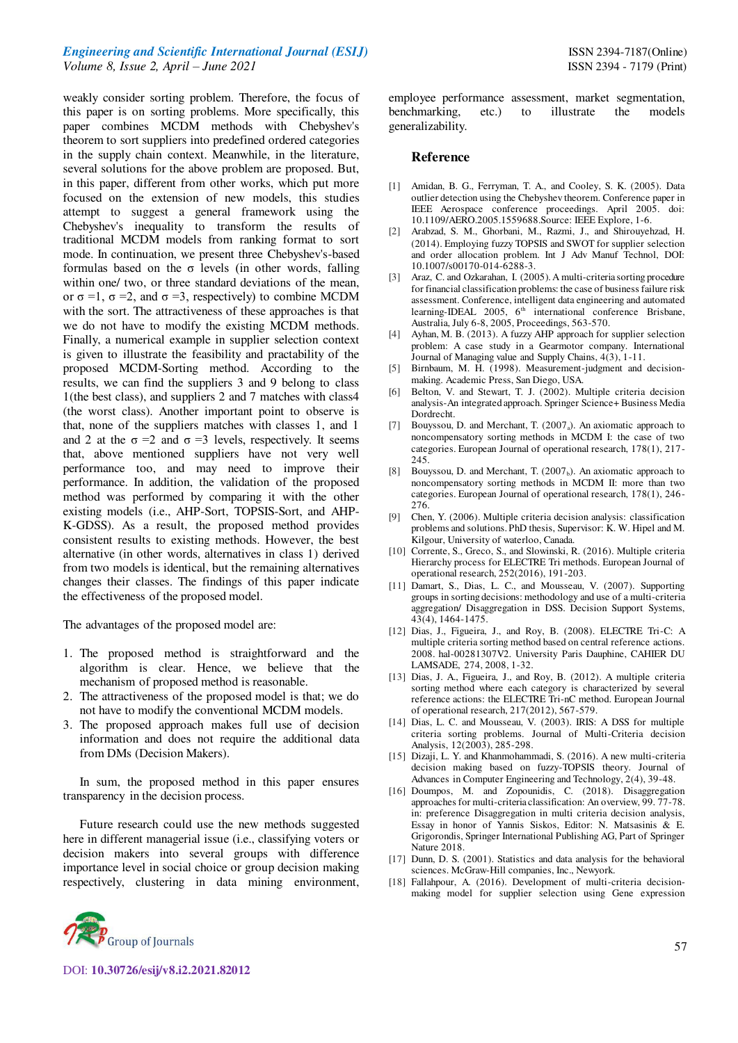weakly consider sorting problem. Therefore, the focus of this paper is on sorting problems. More specifically, this paper combines MCDM methods with Chebyshev's theorem to sort suppliers into predefined ordered categories in the supply chain context. Meanwhile, in the literature, several solutions for the above problem are proposed. But, in this paper, different from other works, which put more focused on the extension of new models, this studies attempt to suggest a general framework using the Chebyshev's inequality to transform the results of traditional MCDM models from ranking format to sort mode. In continuation, we present three Chebyshev's-based formulas based on the  $\sigma$  levels (in other words, falling within one/ two, or three standard deviations of the mean, or  $\sigma$  =1,  $\sigma$  =2, and  $\sigma$  =3, respectively) to combine MCDM with the sort. The attractiveness of these approaches is that we do not have to modify the existing MCDM methods. Finally, a numerical example in supplier selection context is given to illustrate the feasibility and practability of the proposed MCDM-Sorting method. According to the results, we can find the suppliers 3 and 9 belong to class 1(the best class), and suppliers 2 and 7 matches with class4 (the worst class). Another important point to observe is that, none of the suppliers matches with classes 1, and 1 and 2 at the  $\sigma = 2$  and  $\sigma = 3$  levels, respectively. It seems that, above mentioned suppliers have not very well performance too, and may need to improve their performance. In addition, the validation of the proposed method was performed by comparing it with the other existing models (i.e., AHP-Sort, TOPSIS-Sort, and AHP-K-GDSS). As a result, the proposed method provides consistent results to existing methods. However, the best alternative (in other words, alternatives in class 1) derived from two models is identical, but the remaining alternatives changes their classes. The findings of this paper indicate the effectiveness of the proposed model.

The advantages of the proposed model are:

- 1. The proposed method is straightforward and the algorithm is clear. Hence, we believe that the mechanism of proposed method is reasonable.
- 2. The attractiveness of the proposed model is that; we do not have to modify the conventional MCDM models.
- 3. The proposed approach makes full use of decision information and does not require the additional data from DMs (Decision Makers).

In sum, the proposed method in this paper ensures transparency in the decision process.

Future research could use the new methods suggested here in different managerial issue (i.e., classifying voters or decision makers into several groups with difference importance level in social choice or group decision making respectively, clustering in data mining environment, employee performance assessment, market segmentation, benchmarking, etc.) to illustrate the models generalizability.

## **Reference**

- [1] Amidan, B. G., Ferryman, T. A., and Cooley, S. K. (2005). Data outlier detection using the Chebyshev theorem. Conference paper in IEEE Aerospace conference proceedings. April 2005. doi: 10.1109/AERO.2005.1559688.Source: IEEE Explore, 1-6.
- [2] Arabzad, S. M., Ghorbani, M., Razmi, J., and Shirouyehzad, H. (2014). Employing fuzzy TOPSIS and SWOT for supplier selection and order allocation problem. Int J Adv Manuf Technol, DOI: 10.1007/s00170-014-6288-3.
- [3] Araz, C. and Ozkarahan, I. (2005). A multi-criteria sorting procedure for financial classification problems: the case of business failure risk assessment. Conference, intelligent data engineering and automated learning-IDEAL 2005, 6<sup>th</sup> international conference Brisbane, Australia, July 6-8, 2005, Proceedings, 563-570.
- [4] Ayhan, M. B. (2013). A fuzzy AHP approach for supplier selection problem: A case study in a Gearmotor company. International Journal of Managing value and Supply Chains, 4(3), 1-11.
- [5] Birnbaum, M. H. (1998). Measurement-judgment and decisionmaking. Academic Press, San Diego, USA.
- [6] Belton, V. and Stewart, T. J. (2002). Multiple criteria decision analysis-An integrated approach. Springer Science+ Business Media Dordrecht.
- [7] Bouyssou, D. and Merchant, T. (2007<sub>a</sub>). An axiomatic approach to noncompensatory sorting methods in MCDM I: the case of two categories. European Journal of operational research, 178(1), 217- 245.
- [8] Bouyssou, D. and Merchant, T.  $(2007<sub>b</sub>)$ . An axiomatic approach to noncompensatory sorting methods in MCDM II: more than two categories. European Journal of operational research, 178(1), 246- 276.
- [9] Chen, Y. (2006). Multiple criteria decision analysis: classification problems and solutions. PhD thesis, Supervisor: K. W. Hipel and M. Kilgour, University of waterloo, Canada.
- [10] Corrente, S., Greco, S., and Slowinski, R. (2016). Multiple criteria Hierarchy process for ELECTRE Tri methods. European Journal of operational research, 252(2016), 191-203.
- [11] Damart, S., Dias, L. C., and Mousseau, V. (2007). Supporting groups in sorting decisions: methodology and use of a multi-criteria aggregation/ Disaggregation in DSS. Decision Support Systems, 43(4), 1464-1475.
- [12] Dias, J., Figueira, J., and Roy, B. (2008). ELECTRE Tri-C: A multiple criteria sorting method based on central reference actions. 2008. hal-00281307V2. University Paris Dauphine, CAHIER DU LAMSADE, 274, 2008, 1-32.
- [13] Dias, J. A., Figueira, J., and Roy, B. (2012). A multiple criteria sorting method where each category is characterized by several reference actions: the ELECTRE Tri-nC method. European Journal of operational research, 217(2012), 567-579.
- [14] Dias, L. C. and Mousseau, V. (2003). IRIS: A DSS for multiple criteria sorting problems. Journal of Multi-Criteria decision Analysis, 12(2003), 285-298.
- [15] Dizaji, L. Y. and Khanmohammadi, S. (2016). A new multi-criteria decision making based on fuzzy-TOPSIS theory. Journal of Advances in Computer Engineering and Technology, 2(4), 39-48.
- [16] Doumpos, M. and Zopounidis, C. (2018). Disaggregation approaches for multi-criteria classification: An overview, 99. 77-78. in: preference Disaggregation in multi criteria decision analysis, Essay in honor of Yannis Siskos, Editor: N. Matsasinis & E. Grigorondis, Springer International Publishing AG, Part of Springer Nature 2018.
- [17] Dunn, D. S. (2001). Statistics and data analysis for the behavioral sciences. McGraw-Hill companies, Inc., Newyork.
- [18] Fallahpour, A. (2016). Development of multi-criteria decisionmaking model for supplier selection using Gene expression



DOI: **10.30726/esij/v8.i2.2021.82012**